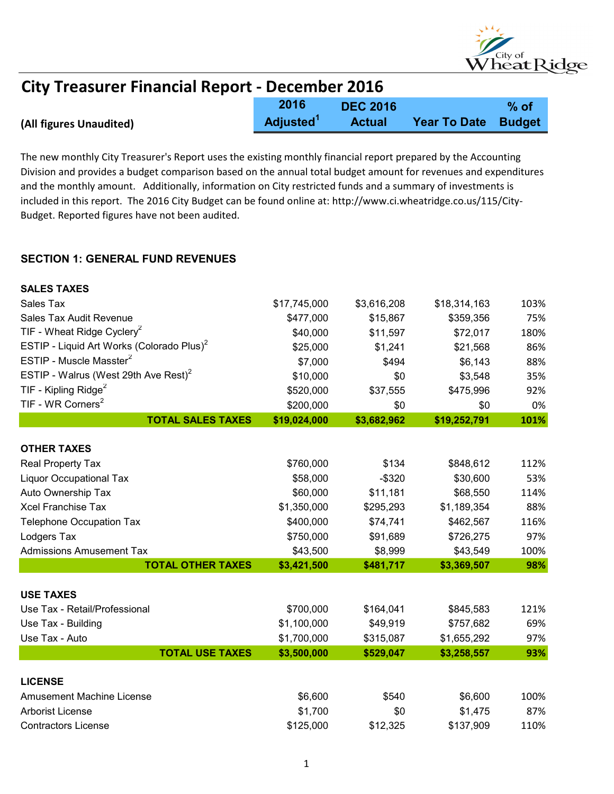

#### (All figures Unaudited) 2016 Adjusted<sup>1</sup> DEC 2016 Actual Year To Date % of Budget City Treasurer Financial Report - December 2016

The new monthly City Treasurer's Report uses the existing monthly financial report prepared by the Accounting Division and provides a budget comparison based on the annual total budget amount for revenues and expenditures and the monthly amount. Additionally, information on City restricted funds and a summary of investments is included in this report. The 2016 City Budget can be found online at: http://www.ci.wheatridge.co.us/115/City-Budget. Reported figures have not been audited.

#### SECTION 1: GENERAL FUND REVENUES

| <b>SALES TAXES</b>                                    |              |             |              |      |
|-------------------------------------------------------|--------------|-------------|--------------|------|
| Sales Tax                                             | \$17,745,000 | \$3,616,208 | \$18,314,163 | 103% |
| Sales Tax Audit Revenue                               | \$477,000    | \$15,867    | \$359,356    | 75%  |
| TIF - Wheat Ridge Cyclery <sup>2</sup>                | \$40,000     | \$11,597    | \$72,017     | 180% |
| ESTIP - Liquid Art Works (Colorado Plus) <sup>2</sup> | \$25,000     | \$1,241     | \$21,568     | 86%  |
| ESTIP - Muscle Masster <sup>2</sup>                   | \$7,000      | \$494       | \$6,143      | 88%  |
| ESTIP - Walrus (West 29th Ave Rest) <sup>2</sup>      | \$10,000     | \$0         | \$3,548      | 35%  |
| TIF - Kipling Ridge <sup>2</sup>                      | \$520,000    | \$37,555    | \$475,996    | 92%  |
| TIF - WR Corners <sup>2</sup>                         | \$200,000    | \$0         | \$0          | 0%   |
| <b>TOTAL SALES TAXES</b>                              | \$19,024,000 | \$3,682,962 | \$19,252,791 | 101% |
| <b>OTHER TAXES</b>                                    |              |             |              |      |
| Real Property Tax                                     | \$760,000    | \$134       | \$848,612    | 112% |
| <b>Liquor Occupational Tax</b>                        | \$58,000     | $-$ \$320   | \$30,600     | 53%  |
| Auto Ownership Tax                                    | \$60,000     | \$11,181    | \$68,550     | 114% |
| <b>Xcel Franchise Tax</b>                             | \$1,350,000  | \$295,293   | \$1,189,354  | 88%  |
| <b>Telephone Occupation Tax</b>                       | \$400,000    | \$74,741    | \$462,567    | 116% |
| Lodgers Tax                                           | \$750,000    | \$91,689    | \$726,275    | 97%  |
| <b>Admissions Amusement Tax</b>                       | \$43,500     | \$8,999     | \$43,549     | 100% |
| <b>TOTAL OTHER TAXES</b>                              | \$3,421,500  | \$481,717   | \$3,369,507  | 98%  |
| <b>USE TAXES</b>                                      |              |             |              |      |
| Use Tax - Retail/Professional                         | \$700,000    | \$164,041   | \$845,583    | 121% |
| Use Tax - Building                                    | \$1,100,000  | \$49,919    | \$757,682    | 69%  |
| Use Tax - Auto                                        | \$1,700,000  | \$315,087   | \$1,655,292  | 97%  |
| <b>TOTAL USE TAXES</b>                                | \$3,500,000  | \$529,047   | \$3,258,557  | 93%  |
|                                                       |              |             |              |      |
| <b>LICENSE</b>                                        |              |             |              |      |
| <b>Amusement Machine License</b>                      | \$6,600      | \$540       | \$6,600      | 100% |
| <b>Arborist License</b>                               | \$1,700      | \$0         | \$1,475      | 87%  |
| <b>Contractors License</b>                            | \$125,000    | \$12,325    | \$137,909    | 110% |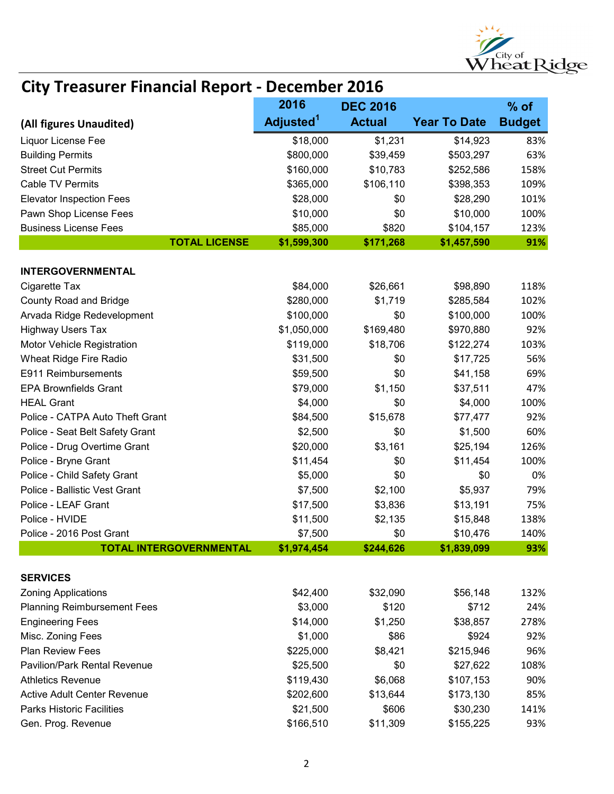

|                                     | 2016                  | <b>DEC 2016</b> |                     | $%$ of        |
|-------------------------------------|-----------------------|-----------------|---------------------|---------------|
| (All figures Unaudited)             | Adjusted <sup>1</sup> | <b>Actual</b>   | <b>Year To Date</b> | <b>Budget</b> |
| Liquor License Fee                  | \$18,000              | \$1,231         | \$14,923            | 83%           |
| <b>Building Permits</b>             | \$800,000             | \$39,459        | \$503,297           | 63%           |
| <b>Street Cut Permits</b>           | \$160,000             | \$10,783        | \$252,586           | 158%          |
| <b>Cable TV Permits</b>             | \$365,000             | \$106,110       | \$398,353           | 109%          |
| <b>Elevator Inspection Fees</b>     | \$28,000              | \$0             | \$28,290            | 101%          |
| Pawn Shop License Fees              | \$10,000              | \$0             | \$10,000            | 100%          |
| <b>Business License Fees</b>        | \$85,000              | \$820           | \$104,157           | 123%          |
| <b>TOTAL LICENSE</b>                | \$1,599,300           | \$171,268       | \$1,457,590         | 91%           |
| <b>INTERGOVERNMENTAL</b>            |                       |                 |                     |               |
| Cigarette Tax                       | \$84,000              | \$26,661        | \$98,890            | 118%          |
| <b>County Road and Bridge</b>       | \$280,000             | \$1,719         | \$285,584           | 102%          |
| Arvada Ridge Redevelopment          | \$100,000             | \$0             | \$100,000           | 100%          |
| <b>Highway Users Tax</b>            | \$1,050,000           | \$169,480       | \$970,880           | 92%           |
| Motor Vehicle Registration          | \$119,000             | \$18,706        | \$122,274           | 103%          |
| Wheat Ridge Fire Radio              | \$31,500              | \$0             | \$17,725            | 56%           |
| E911 Reimbursements                 | \$59,500              | \$0             | \$41,158            | 69%           |
| <b>EPA Brownfields Grant</b>        | \$79,000              | \$1,150         | \$37,511            | 47%           |
| <b>HEAL Grant</b>                   | \$4,000               | \$0             | \$4,000             | 100%          |
| Police - CATPA Auto Theft Grant     | \$84,500              | \$15,678        | \$77,477            | 92%           |
| Police - Seat Belt Safety Grant     | \$2,500               | \$0             | \$1,500             | 60%           |
| Police - Drug Overtime Grant        | \$20,000              | \$3,161         | \$25,194            | 126%          |
| Police - Bryne Grant                | \$11,454              | \$0             | \$11,454            | 100%          |
| Police - Child Safety Grant         | \$5,000               | \$0             | \$0                 | 0%            |
| Police - Ballistic Vest Grant       | \$7,500               | \$2,100         | \$5,937             | 79%           |
| Police - LEAF Grant                 | \$17,500              | \$3,836         | \$13,191            | 75%           |
| Police - HVIDE                      | \$11,500              | \$2,135         | \$15,848            | 138%          |
| Police - 2016 Post Grant            | \$7,500               | \$0             | \$10,476            | 140%          |
| <b>TOTAL INTERGOVERNMENTAL</b>      | \$1,974,454           | \$244,626       | \$1,839,099         | 93%           |
| <b>SERVICES</b>                     |                       |                 |                     |               |
| <b>Zoning Applications</b>          | \$42,400              | \$32,090        | \$56,148            | 132%          |
| <b>Planning Reimbursement Fees</b>  | \$3,000               | \$120           | \$712               | 24%           |
| <b>Engineering Fees</b>             | \$14,000              | \$1,250         | \$38,857            | 278%          |
| Misc. Zoning Fees                   | \$1,000               | \$86            | \$924               | 92%           |
| <b>Plan Review Fees</b>             | \$225,000             | \$8,421         | \$215,946           | 96%           |
| <b>Pavilion/Park Rental Revenue</b> | \$25,500              | \$0             | \$27,622            | 108%          |
| <b>Athletics Revenue</b>            | \$119,430             | \$6,068         | \$107,153           | 90%           |
| <b>Active Adult Center Revenue</b>  | \$202,600             | \$13,644        | \$173,130           | 85%           |
| <b>Parks Historic Facilities</b>    | \$21,500              | \$606           | \$30,230            | 141%          |
| Gen. Prog. Revenue                  | \$166,510             | \$11,309        | \$155,225           | 93%           |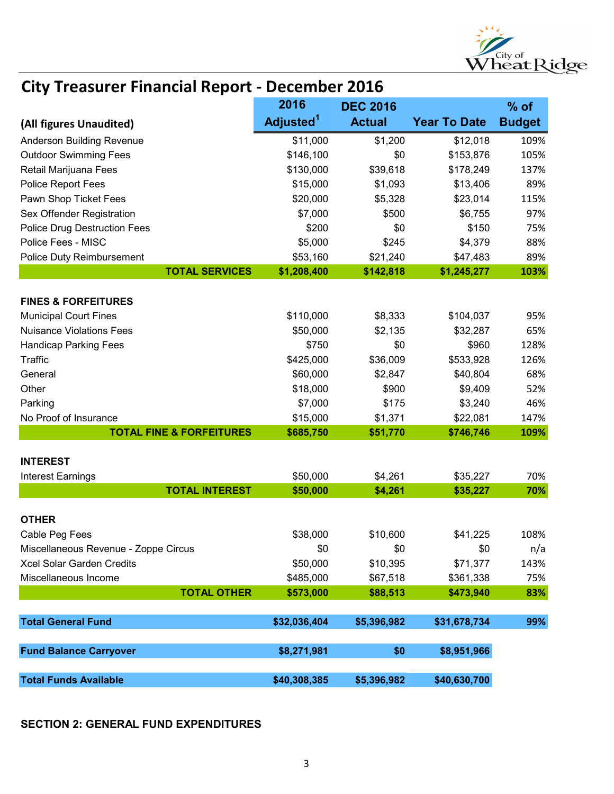

|                                      | 2016                  | <b>DEC 2016</b> |                     | $%$ of        |
|--------------------------------------|-----------------------|-----------------|---------------------|---------------|
| (All figures Unaudited)              | Adjusted <sup>1</sup> | <b>Actual</b>   | <b>Year To Date</b> | <b>Budget</b> |
| <b>Anderson Building Revenue</b>     | \$11,000              | \$1,200         | \$12,018            | 109%          |
| <b>Outdoor Swimming Fees</b>         | \$146,100             | \$0             | \$153,876           | 105%          |
| Retail Marijuana Fees                | \$130,000             | \$39,618        | \$178,249           | 137%          |
| Police Report Fees                   | \$15,000              | \$1,093         | \$13,406            | 89%           |
| Pawn Shop Ticket Fees                | \$20,000              | \$5,328         | \$23,014            | 115%          |
| Sex Offender Registration            | \$7,000               | \$500           | \$6,755             | 97%           |
| <b>Police Drug Destruction Fees</b>  | \$200                 | \$0             | \$150               | 75%           |
| Police Fees - MISC                   | \$5,000               | \$245           | \$4,379             | 88%           |
| Police Duty Reimbursement            | \$53,160              | \$21,240        | \$47,483            | 89%           |
| <b>TOTAL SERVICES</b>                | \$1,208,400           | \$142,818       | \$1,245,277         | 103%          |
| <b>FINES &amp; FORFEITURES</b>       |                       |                 |                     |               |
| <b>Municipal Court Fines</b>         | \$110,000             | \$8,333         | \$104,037           | 95%           |
| <b>Nuisance Violations Fees</b>      | \$50,000              | \$2,135         | \$32,287            | 65%           |
| <b>Handicap Parking Fees</b>         | \$750                 | \$0             | \$960               | 128%          |
| Traffic                              | \$425,000             | \$36,009        | \$533,928           | 126%          |
| General                              | \$60,000              | \$2,847         | \$40,804            | 68%           |
| Other                                | \$18,000              | \$900           | \$9,409             | 52%           |
| Parking                              | \$7,000               | \$175           | \$3,240             | 46%           |
| No Proof of Insurance                | \$15,000              | \$1,371         | \$22,081            | 147%          |
| <b>TOTAL FINE &amp; FORFEITURES</b>  | \$685,750             | \$51,770        | \$746,746           | 109%          |
|                                      |                       |                 |                     |               |
| <b>INTEREST</b>                      |                       |                 |                     |               |
| <b>Interest Earnings</b>             | \$50,000              | \$4,261         | \$35,227            | 70%           |
| <b>TOTAL INTEREST</b>                | \$50,000              | \$4,261         | \$35,227            | 70%           |
| <b>OTHER</b>                         |                       |                 |                     |               |
| Cable Peg Fees                       | \$38,000              | \$10,600        | \$41,225            | 108%          |
| Miscellaneous Revenue - Zoppe Circus | \$0                   | \$0             | \$0                 | n/a           |
| Xcel Solar Garden Credits            | \$50,000              | \$10,395        | \$71,377            | 143%          |
| Miscellaneous Income                 | \$485,000             | \$67,518        | \$361,338           | 75%           |
| <b>TOTAL OTHER</b>                   | \$573,000             | \$88,513        | \$473,940           | 83%           |
|                                      |                       |                 |                     |               |
| <b>Total General Fund</b>            | \$32,036,404          | \$5,396,982     | \$31,678,734        | 99%           |
| <b>Fund Balance Carryover</b>        | \$8,271,981           | \$0             | \$8,951,966         |               |
|                                      |                       |                 |                     |               |
| <b>Total Funds Available</b>         | \$40,308,385          | \$5,396,982     | \$40,630,700        |               |

#### SECTION 2: GENERAL FUND EXPENDITURES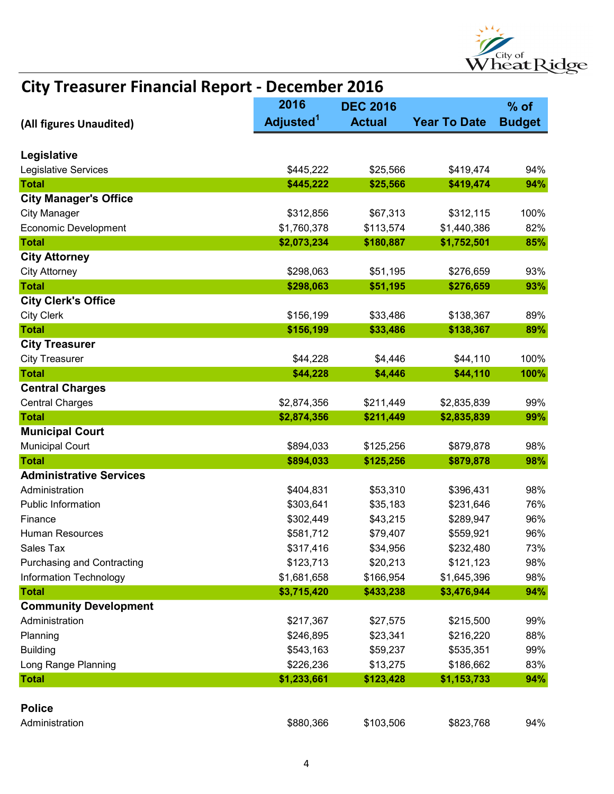

|                                     | 2016                  | <b>DEC 2016</b> |                     | $%$ of        |
|-------------------------------------|-----------------------|-----------------|---------------------|---------------|
| (All figures Unaudited)             | Adjusted <sup>1</sup> | <b>Actual</b>   | <b>Year To Date</b> | <b>Budget</b> |
|                                     |                       |                 |                     |               |
| Legislative<br>Legislative Services | \$445,222             | \$25,566        | \$419,474           | 94%           |
| <b>Total</b>                        | \$445,222             | \$25,566        | \$419,474           | 94%           |
| <b>City Manager's Office</b>        |                       |                 |                     |               |
| <b>City Manager</b>                 | \$312,856             | \$67,313        | \$312,115           | 100%          |
| <b>Economic Development</b>         | \$1,760,378           | \$113,574       | \$1,440,386         | 82%           |
| <b>Total</b>                        | \$2,073,234           | \$180,887       | \$1,752,501         | 85%           |
| <b>City Attorney</b>                |                       |                 |                     |               |
| <b>City Attorney</b>                | \$298,063             | \$51,195        | \$276,659           | 93%           |
| <b>Total</b>                        | \$298,063             | \$51,195        | \$276,659           | 93%           |
| <b>City Clerk's Office</b>          |                       |                 |                     |               |
| <b>City Clerk</b>                   | \$156,199             | \$33,486        | \$138,367           | 89%           |
| <b>Total</b>                        | \$156,199             | \$33,486        | \$138,367           | 89%           |
| <b>City Treasurer</b>               |                       |                 |                     |               |
| <b>City Treasurer</b>               | \$44,228              | \$4,446         | \$44,110            | 100%          |
| <b>Total</b>                        | \$44,228              | \$4,446         | \$44,110            | 100%          |
| <b>Central Charges</b>              |                       |                 |                     |               |
| <b>Central Charges</b>              | \$2,874,356           | \$211,449       | \$2,835,839         | 99%           |
| <b>Total</b>                        | \$2,874,356           | \$211,449       | \$2,835,839         | 99%           |
| <b>Municipal Court</b>              |                       |                 |                     |               |
| <b>Municipal Court</b>              | \$894,033             | \$125,256       | \$879,878           | 98%           |
| <b>Total</b>                        | \$894,033             | \$125,256       | \$879,878           | 98%           |
| <b>Administrative Services</b>      |                       |                 |                     |               |
| Administration                      | \$404,831             | \$53,310        | \$396,431           | 98%           |
| <b>Public Information</b>           | \$303,641             | \$35,183        | \$231,646           | 76%           |
| Finance                             | \$302,449             | \$43,215        | \$289,947           | 96%           |
| <b>Human Resources</b>              | \$581,712             | \$79,407        | \$559,921           | 96%           |
| Sales Tax                           | \$317,416             | \$34,956        | \$232,480           | 73%           |
| <b>Purchasing and Contracting</b>   | \$123,713             | \$20,213        | \$121,123           | 98%           |
| Information Technology              | \$1,681,658           | \$166,954       | \$1,645,396         | 98%           |
| <b>Total</b>                        | \$3,715,420           | \$433,238       | \$3,476,944         | 94%           |
| <b>Community Development</b>        |                       |                 |                     |               |
| Administration                      | \$217,367             | \$27,575        | \$215,500           | 99%           |
| Planning                            | \$246,895             | \$23,341        | \$216,220           | 88%           |
| <b>Building</b>                     | \$543,163             | \$59,237        | \$535,351           | 99%           |
| Long Range Planning                 | \$226,236             | \$13,275        | \$186,662           | 83%           |
| <b>Total</b>                        | \$1,233,661           | \$123,428       | \$1,153,733         | 94%           |
|                                     |                       |                 |                     |               |
| <b>Police</b>                       |                       |                 |                     |               |
| Administration                      | \$880,366             | \$103,506       | \$823,768           | 94%           |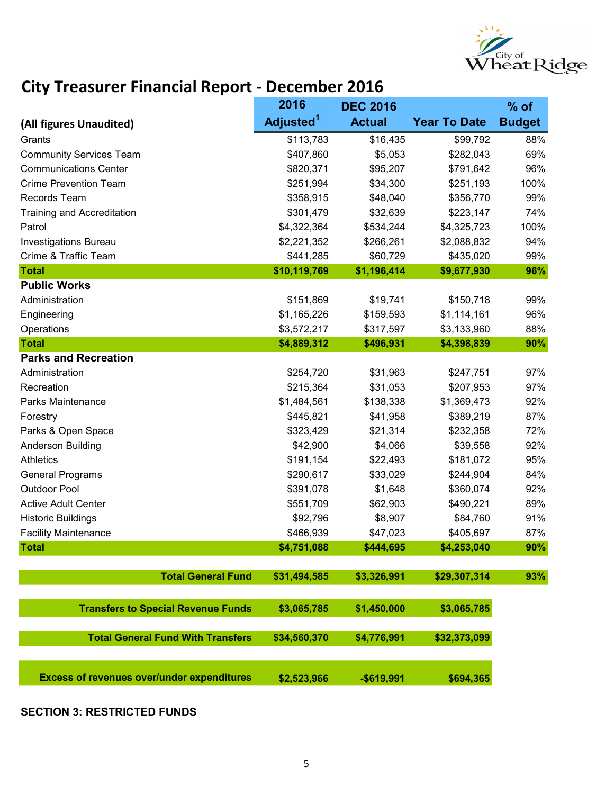

|                                                   | 2016                  | <b>DEC 2016</b> |                     | $%$ of        |
|---------------------------------------------------|-----------------------|-----------------|---------------------|---------------|
| (All figures Unaudited)                           | Adjusted <sup>1</sup> | <b>Actual</b>   | <b>Year To Date</b> | <b>Budget</b> |
| Grants                                            | \$113,783             | \$16,435        | \$99,792            | 88%           |
| <b>Community Services Team</b>                    | \$407,860             | \$5,053         | \$282,043           | 69%           |
| <b>Communications Center</b>                      | \$820,371             | \$95,207        | \$791,642           | 96%           |
| <b>Crime Prevention Team</b>                      | \$251,994             | \$34,300        | \$251,193           | 100%          |
| Records Team                                      | \$358,915             | \$48,040        | \$356,770           | 99%           |
| <b>Training and Accreditation</b>                 | \$301,479             | \$32,639        | \$223,147           | 74%           |
| Patrol                                            | \$4,322,364           | \$534,244       | \$4,325,723         | 100%          |
| <b>Investigations Bureau</b>                      | \$2,221,352           | \$266,261       | \$2,088,832         | 94%           |
| Crime & Traffic Team                              | \$441,285             | \$60,729        | \$435,020           | 99%           |
| <b>Total</b>                                      | \$10,119,769          | \$1,196,414     | \$9,677,930         | 96%           |
| <b>Public Works</b>                               |                       |                 |                     |               |
| Administration                                    | \$151,869             | \$19,741        | \$150,718           | 99%           |
| Engineering                                       | \$1,165,226           | \$159,593       | \$1,114,161         | 96%           |
| Operations                                        | \$3,572,217           | \$317,597       | \$3,133,960         | 88%           |
| <b>Total</b>                                      | \$4,889,312           | \$496,931       | \$4,398,839         | 90%           |
| <b>Parks and Recreation</b>                       |                       |                 |                     |               |
| Administration                                    | \$254,720             | \$31,963        | \$247,751           | 97%           |
| Recreation                                        | \$215,364             | \$31,053        | \$207,953           | 97%           |
| Parks Maintenance                                 | \$1,484,561           | \$138,338       | \$1,369,473         | 92%           |
| Forestry                                          | \$445,821             | \$41,958        | \$389,219           | 87%           |
| Parks & Open Space                                | \$323,429             | \$21,314        | \$232,358           | 72%           |
| Anderson Building                                 | \$42,900              | \$4,066         | \$39,558            | 92%           |
| <b>Athletics</b>                                  | \$191,154             | \$22,493        | \$181,072           | 95%           |
| <b>General Programs</b>                           | \$290,617             | \$33,029        | \$244,904           | 84%           |
| <b>Outdoor Pool</b>                               | \$391,078             | \$1,648         | \$360,074           | 92%           |
| <b>Active Adult Center</b>                        | \$551,709             | \$62,903        | \$490,221           | 89%           |
| <b>Historic Buildings</b>                         | \$92,796              | \$8,907         | \$84,760            | 91%           |
| <b>Facility Maintenance</b>                       | \$466,939             | \$47,023        | \$405,697           | 87%           |
| <b>Total</b>                                      | \$4,751,088           | \$444,695       | \$4,253,040         | 90%           |
|                                                   |                       |                 |                     |               |
| <b>Total General Fund</b>                         | \$31,494,585          | \$3,326,991     | \$29,307,314        | 93%           |
| <b>Transfers to Special Revenue Funds</b>         | \$3,065,785           | \$1,450,000     | \$3,065,785         |               |
| <b>Total General Fund With Transfers</b>          | \$34,560,370          | \$4,776,991     | \$32,373,099        |               |
| <b>Excess of revenues over/under expenditures</b> | \$2,523,966           | $-$619,991$     | \$694,365           |               |

SECTION 3: RESTRICTED FUNDS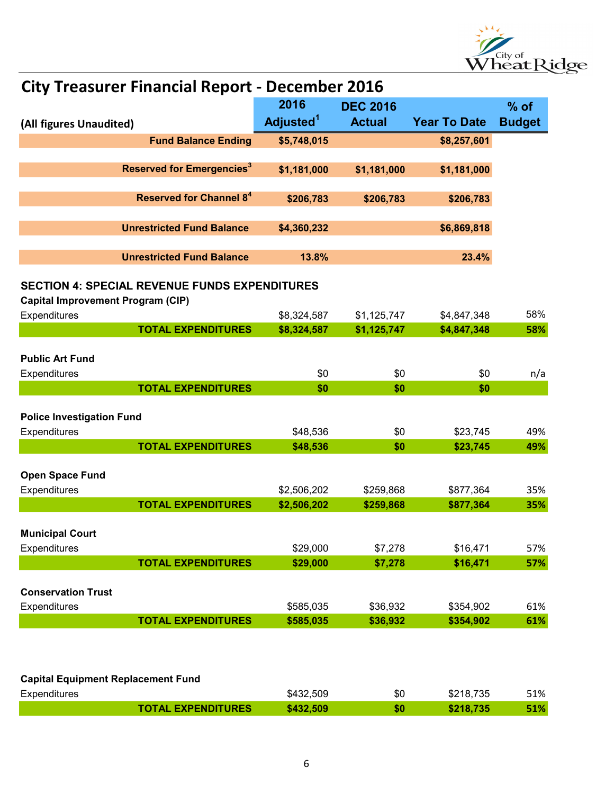

| <b>City Treasurer Financial Report - December 2016</b> |                                                      |                            |                        |                        |               |  |
|--------------------------------------------------------|------------------------------------------------------|----------------------------|------------------------|------------------------|---------------|--|
|                                                        |                                                      | 2016                       | <b>DEC 2016</b>        |                        | $%$ of        |  |
| (All figures Unaudited)                                |                                                      | Adjusted <sup>1</sup>      | <b>Actual</b>          | <b>Year To Date</b>    | <b>Budget</b> |  |
|                                                        | <b>Fund Balance Ending</b>                           | \$5,748,015                |                        | \$8,257,601            |               |  |
|                                                        |                                                      |                            |                        |                        |               |  |
|                                                        | <b>Reserved for Emergencies<sup>3</sup></b>          | \$1,181,000                | \$1,181,000            | \$1,181,000            |               |  |
|                                                        | <b>Reserved for Channel 84</b>                       | \$206,783                  | \$206,783              | \$206,783              |               |  |
|                                                        |                                                      |                            |                        |                        |               |  |
|                                                        | <b>Unrestricted Fund Balance</b>                     | \$4,360,232                |                        | \$6,869,818            |               |  |
|                                                        |                                                      |                            |                        |                        |               |  |
|                                                        | <b>Unrestricted Fund Balance</b>                     | 13.8%                      |                        | 23.4%                  |               |  |
|                                                        | <b>SECTION 4: SPECIAL REVENUE FUNDS EXPENDITURES</b> |                            |                        |                        |               |  |
| <b>Capital Improvement Program (CIP)</b>               |                                                      |                            |                        |                        |               |  |
| Expenditures                                           |                                                      | \$8,324,587                | \$1,125,747            | \$4,847,348            | 58%           |  |
|                                                        | <b>TOTAL EXPENDITURES</b>                            | \$8,324,587                | \$1,125,747            | \$4,847,348            | 58%           |  |
|                                                        |                                                      |                            |                        |                        |               |  |
| <b>Public Art Fund</b>                                 |                                                      |                            |                        |                        |               |  |
| Expenditures                                           |                                                      | \$0                        | \$0                    | \$0                    | n/a           |  |
|                                                        | <b>TOTAL EXPENDITURES</b>                            | \$0                        | \$0                    | \$0                    |               |  |
| <b>Police Investigation Fund</b>                       |                                                      |                            |                        |                        |               |  |
| Expenditures                                           |                                                      | \$48,536                   | \$0                    | \$23,745               | 49%           |  |
|                                                        | <b>TOTAL EXPENDITURES</b>                            | \$48,536                   | \$0                    | \$23,745               | 49%           |  |
|                                                        |                                                      |                            |                        |                        |               |  |
| Open Space Fund                                        |                                                      |                            |                        |                        |               |  |
| Expenditures                                           | <b>TOTAL EXPENDITURES</b>                            | \$2,506,202<br>\$2,506,202 | \$259,868<br>\$259,868 | \$877,364<br>\$877,364 | 35%<br>35%    |  |
|                                                        |                                                      |                            |                        |                        |               |  |
| <b>Municipal Court</b>                                 |                                                      |                            |                        |                        |               |  |
| Expenditures                                           |                                                      | \$29,000                   | \$7,278                | \$16,471               | 57%           |  |
|                                                        | <b>TOTAL EXPENDITURES</b>                            | \$29,000                   | \$7,278                | \$16,471               | 57%           |  |
|                                                        |                                                      |                            |                        |                        |               |  |
| <b>Conservation Trust</b>                              |                                                      |                            |                        |                        |               |  |
| Expenditures                                           |                                                      | \$585,035                  | \$36,932               | \$354,902              | 61%           |  |
|                                                        | <b>TOTAL EXPENDITURES</b>                            | \$585,035                  | \$36,932               | \$354,902              | 61%           |  |
|                                                        |                                                      |                            |                        |                        |               |  |
|                                                        |                                                      |                            |                        |                        |               |  |
|                                                        | <b>Capital Equipment Replacement Fund</b>            |                            |                        |                        |               |  |
| Expenditures                                           |                                                      | \$432,509                  | \$0                    | \$218,735              | 51%           |  |

#### Expenditures **\$432,509** \$432,509 \$218,735 51% TOTAL EXPENDITURES \$432,509 \$10 \$218,735 \$1%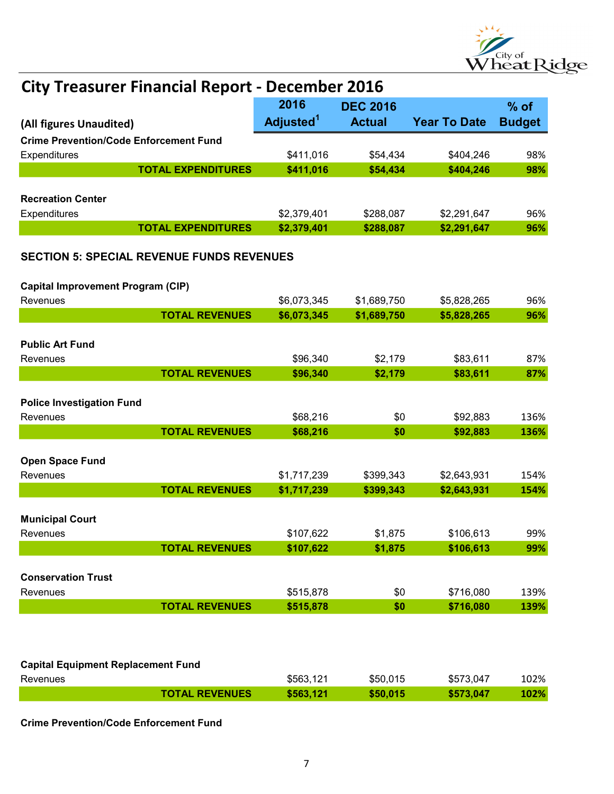

|                                                  | 2016                  | <b>DEC 2016</b> |                     | $%$ of        |  |  |  |
|--------------------------------------------------|-----------------------|-----------------|---------------------|---------------|--|--|--|
| (All figures Unaudited)                          | Adjusted <sup>1</sup> | <b>Actual</b>   | <b>Year To Date</b> | <b>Budget</b> |  |  |  |
| <b>Crime Prevention/Code Enforcement Fund</b>    |                       |                 |                     |               |  |  |  |
| Expenditures                                     | \$411,016             | \$54,434        | \$404,246           | 98%           |  |  |  |
| <b>TOTAL EXPENDITURES</b>                        | \$411,016             | \$54,434        | \$404,246           | 98%           |  |  |  |
| <b>Recreation Center</b>                         |                       |                 |                     |               |  |  |  |
| Expenditures                                     | \$2,379,401           | \$288,087       | \$2,291,647         | 96%           |  |  |  |
| <b>TOTAL EXPENDITURES</b>                        | \$2,379,401           | \$288,087       | \$2,291,647         | 96%           |  |  |  |
| <b>SECTION 5: SPECIAL REVENUE FUNDS REVENUES</b> |                       |                 |                     |               |  |  |  |
| <b>Capital Improvement Program (CIP)</b>         |                       |                 |                     |               |  |  |  |
| Revenues                                         | \$6,073,345           | \$1,689,750     | \$5,828,265         | 96%           |  |  |  |
| <b>TOTAL REVENUES</b>                            | \$6,073,345           | \$1,689,750     | \$5,828,265         | 96%           |  |  |  |
| <b>Public Art Fund</b>                           |                       |                 |                     |               |  |  |  |
| Revenues                                         | \$96,340              | \$2,179         | \$83,611            | 87%           |  |  |  |
| <b>TOTAL REVENUES</b>                            | \$96,340              | \$2,179         | \$83,611            | 87%           |  |  |  |
|                                                  |                       |                 |                     |               |  |  |  |
| <b>Police Investigation Fund</b>                 |                       |                 |                     |               |  |  |  |
| Revenues                                         | \$68,216              | \$0             | \$92,883            | 136%          |  |  |  |
| <b>TOTAL REVENUES</b>                            | \$68,216              | \$0             | \$92,883            | 136%          |  |  |  |
| Open Space Fund<br>Revenues                      | \$1,717,239           | \$399,343       | \$2,643,931         | 154%          |  |  |  |
| <b>TOTAL REVENUES</b>                            | \$1,717,239           | \$399,343       | \$2,643,931         | 154%          |  |  |  |
| <b>Municipal Court</b><br>Revenues               | \$107,622             | \$1,875         | \$106,613           | 99%           |  |  |  |
| <b>TOTAL REVENUES</b>                            | \$107,622             | \$1,875         | \$106,613           | 99%           |  |  |  |
|                                                  |                       |                 |                     |               |  |  |  |
| <b>Conservation Trust</b>                        |                       |                 |                     |               |  |  |  |
| Revenues                                         | \$515,878             | \$0             | \$716,080           | 139%          |  |  |  |
| <b>TOTAL REVENUES</b>                            | \$515,878             | \$0             | \$716,080           | 139%          |  |  |  |
| <b>Capital Equipment Replacement Fund</b>        |                       |                 |                     |               |  |  |  |
| Revenues                                         | \$563,121             | \$50,015        | \$573,047           | 102%          |  |  |  |
| <b>TOTAL REVENUES</b>                            | \$563,121             | \$50,015        | \$573,047           | 102%          |  |  |  |

Crime Prevention/Code Enforcement Fund